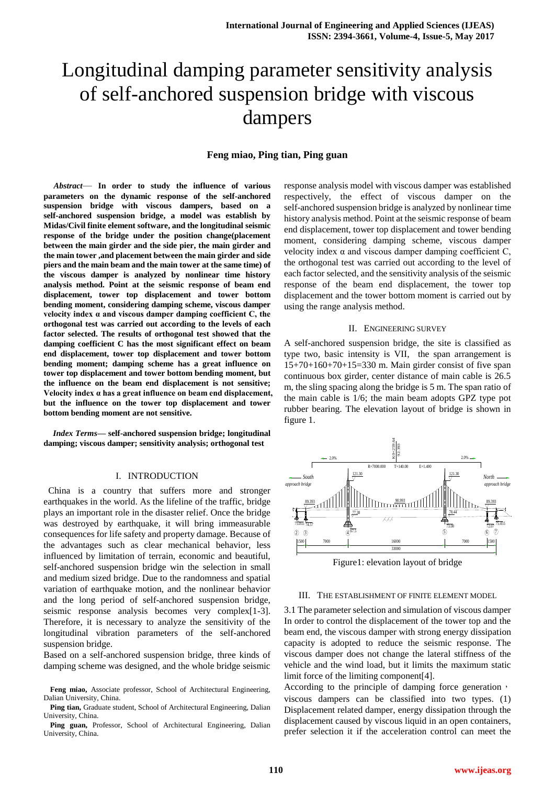# Longitudinal damping parameter sensitivity analysis of self-anchored suspension bridge with viscous dampers

# **Feng miao, Ping tian, Ping guan**

*Abstract*— **In order to study the influence of various parameters on the dynamic response of the self-anchored suspension bridge with viscous dampers, based on a self-anchored suspension bridge, a model was establish by Midas/Civil finite element software, and the longitudinal seismic response of the bridge under the position change(placement between the main girder and the side pier, the main girder and the main tower ,and placement between the main girder and side piers and the main beam and the main tower at the same time) of the viscous damper is analyzed by nonlinear time history analysis method. Point at the seismic response of beam end displacement, tower top displacement and tower bottom bending moment, considering damping scheme, viscous damper velocity index α and viscous damper damping coefficient C, the orthogonal test was carried out according to the levels of each factor selected. The results of orthogonal test showed that the damping coefficient C has the most significant effect on beam end displacement, tower top displacement and tower bottom bending moment; damping scheme has a great influence on tower top displacement and tower bottom bending moment, but the influence on the beam end displacement is not sensitive; Velocity index α has a great influence on beam end displacement, but the influence on the tower top displacement and tower bottom bending moment are not sensitive.** 

*Index Terms***— self-anchored suspension bridge; longitudinal damping; viscous damper; sensitivity analysis; orthogonal test**

## I. INTRODUCTION

 China is a country that suffers more and stronger earthquakes in the world. As the lifeline of the traffic, bridge plays an important role in the disaster relief. Once the bridge was destroyed by earthquake, it will bring immeasurable consequences for life safety and property damage. Because of the advantages such as clear mechanical behavior, less influenced by limitation of terrain, economic and beautiful, self-anchored suspension bridge win the selection in small and medium sized bridge. Due to the randomness and spatial variation of earthquake motion, and the nonlinear behavior and the long period of self-anchored suspension bridge, seismic response analysis becomes very complex[1-3]. Therefore, it is necessary to analyze the sensitivity of the longitudinal vibration parameters of the self-anchored suspension bridge.

Based on a self-anchored suspension bridge, three kinds of damping scheme was designed, and the whole bridge seismic response analysis model with viscous damper was established respectively, the effect of viscous damper on the self-anchored suspension bridge is analyzed by nonlinear time history analysis method. Point at the seismic response of beam end displacement, tower top displacement and tower bending moment, considering damping scheme, viscous damper velocity index α and viscous damper damping coefficient C, the orthogonal test was carried out according to the level of each factor selected, and the sensitivity analysis of the seismic response of the beam end displacement, the tower top displacement and the tower bottom moment is carried out by using the range analysis method.

#### II. ENGINEERING SURVEY

A self-anchored suspension bridge, the site is classified as type two, basic intensity is VII, the span arrangement is 15+70+160+70+15=330 m. Main girder consist of five span continuous box girder, center distance of main cable is 26.5 m, the sling spacing along the bridge is 5 m. The span ratio of the main cable is 1/6; the main beam adopts GPZ type pot rubber bearing. The elevation layout of bridge is shown in figure 1.



Figure1: elevation layout of bridge

# III. THE ESTABLISHMENT OF FINITE ELEMENT MODEL

3.1 The parameter selection and simulation of viscous damper In order to control the displacement of the tower top and the beam end, the viscous damper with strong energy dissipation capacity is adopted to reduce the seismic response. The viscous damper does not change the lateral stiffness of the vehicle and the wind load, but it limits the maximum static limit force of the limiting component[4].

According to the principle of damping force generation, viscous dampers can be classified into two types. (1) Displacement related damper, energy dissipation through the displacement caused by viscous liquid in an open containers, prefer selection it if the acceleration control can meet the

**Feng miao,** Associate professor, School of Architectural Engineering, Dalian University, China.

**Ping tian,** Graduate student, School of Architectural Engineering, Dalian University, China.

**Ping guan,** Professor, School of Architectural Engineering, Dalian University, China.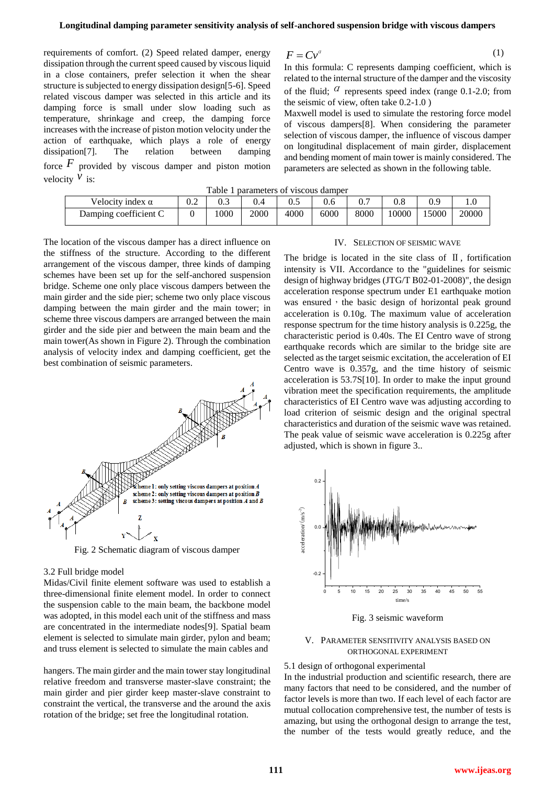requirements of comfort. (2) Speed related damper, energy dissipation through the current speed caused by viscous liquid in a close containers, prefer selection it when the shear structure is subjected to energy dissipation design[5-6]. Speed related viscous damper was selected in this article and its damping force is small under slow loading such as temperature, shrinkage and creep, the damping force increases with the increase of piston motion velocity under the action of earthquake, which plays a role of energy dissipation[7]. The relation between damping force  $F$  provided by viscous damper and piston motion velocity  $\hat{v}$  is:

$$
F = C v^a \tag{1}
$$

In this formula: C represents damping coefficient, which is related to the internal structure of the damper and the viscosity of the fluid;  $\alpha$  represents speed index (range 0.1-2.0; from the seismic of view, often take 0.2-1.0 )

Maxwell model is used to simulate the restoring force model of viscous dampers[8]. When considering the parameter selection of viscous damper, the influence of viscous damper on longitudinal displacement of main girder, displacement and bending moment of main tower is mainly considered. The parameters are selected as shown in the following table.

| Table 1 parameters of viscous damper |
|--------------------------------------|
|--------------------------------------|

| LAUIC I DAIAINCLEIS UL VISCOUS GANNEL |     |      |      |      |      |      |      |      |       |
|---------------------------------------|-----|------|------|------|------|------|------|------|-------|
| Velocity index $\alpha$               | 0.2 | U.J  |      |      |      |      |      |      |       |
| Damping coefficient C                 |     | 1000 | 2000 | 4000 | 6000 | 8000 | 0000 | 5000 | 20000 |

The location of the viscous damper has a direct influence on the stiffness of the structure. According to the different arrangement of the viscous damper, three kinds of damping schemes have been set up for the self-anchored suspension bridge. Scheme one only place viscous dampers between the main girder and the side pier; scheme two only place viscous damping between the main girder and the main tower; in scheme three viscous dampers are arranged between the main girder and the side pier and between the main beam and the main tower(As shown in Figure 2). Through the combination analysis of velocity index and damping coefficient, get the best combination of seismic parameters.



Fig. 2 Schematic diagram of viscous damper

## 3.2 Full bridge model

Midas/Civil finite element software was used to establish a three-dimensional finite element model. In order to connect the suspension cable to the main beam, the backbone model was adopted, in this model each unit of the stiffness and mass are concentrated in the intermediate nodes[9]. Spatial beam element is selected to simulate main girder, pylon and beam; and truss element is selected to simulate the main cables and

hangers. The main girder and the main tower stay longitudinal relative freedom and transverse master-slave constraint; the main girder and pier girder keep master-slave constraint to constraint the vertical, the transverse and the around the axis rotation of the bridge; set free the longitudinal rotation.

#### IV. SELECTION OF SEISMIC WAVE

The bridge is located in the site class of  $\mathbb{I}$ , fortification intensity is VII. Accordance to the "guidelines for seismic design of highway bridges (JTG/T B02-01-2008)", the design acceleration response spectrum under E1 earthquake motion was ensured, the basic design of horizontal peak ground acceleration is 0.10g. The maximum value of acceleration response spectrum for the time history analysis is 0.225g, the characteristic period is 0.40s. The EI Centro wave of strong earthquake records which are similar to the bridge site are selected as the target seismic excitation, the acceleration of EI Centro wave is 0.357g, and the time history of seismic acceleration is 53.7S[10]. In order to make the input ground vibration meet the specification requirements, the amplitude characteristics of EI Centro wave was adjusting according to load criterion of seismic design and the original spectral characteristics and duration of the seismic wave was retained. The peak value of seismic wave acceleration is 0.225g after adjusted, which is shown in figure 3..



Fig. 3 seismic waveform

# V. PARAMETER SENSITIVITY ANALYSIS BASED ON ORTHOGONAL EXPERIMENT

#### 5.1 design of orthogonal experimental

In the industrial production and scientific research, there are many factors that need to be considered, and the number of factor levels is more than two. If each level of each factor are mutual collocation comprehensive test, the number of tests is amazing, but using the orthogonal design to arrange the test, the number of the tests would greatly reduce, and the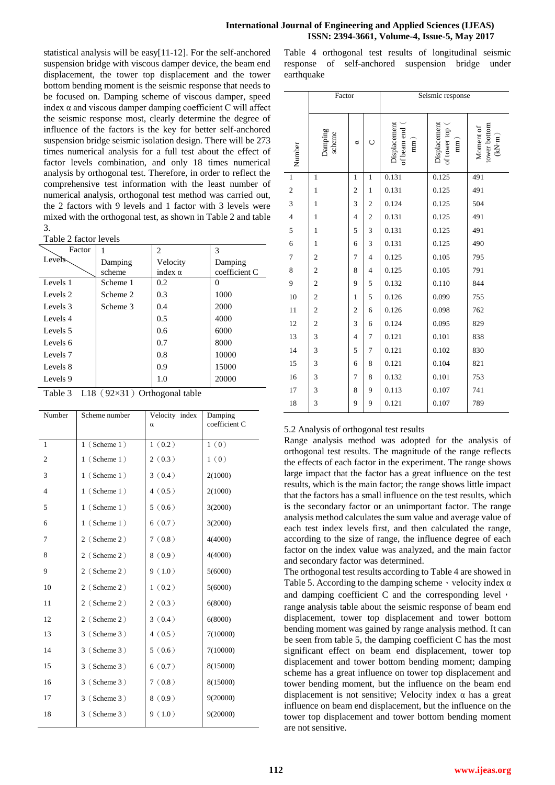statistical analysis will be easy[11-12]. For the self-anchored suspension bridge with viscous damper device, the beam end displacement, the tower top displacement and the tower bottom bending moment is the seismic response that needs to be focused on. Damping scheme of viscous damper, speed index  $\alpha$  and viscous damper damping coefficient C will affect the seismic response most, clearly determine the degree of influence of the factors is the key for better self-anchored suspension bridge seismic isolation design. There will be 273 times numerical analysis for a full test about the effect of factor levels combination, and only 18 times numerical analysis by orthogonal test. Therefore, in order to reflect the comprehensive test information with the least number of numerical analysis, orthogonal test method was carried out, the 2 factors with 9 levels and 1 factor with 3 levels were mixed with the orthogonal test, as shown in Table 2 and table 3.

Table 2 factor levels

| Factor              | 1                      | 2                | 3             |
|---------------------|------------------------|------------------|---------------|
| Levels <sub>b</sub> | Damping                | Velocity         | Damping       |
|                     | scheme                 | index $\alpha$   | coefficient C |
| Levels 1            | Scheme 1               | 0.2              | 0             |
| Levels 2            | Scheme 2               | 0.3              | 1000          |
| Levels 3            | Scheme 3               | 0.4              | 2000          |
| Levels 4            |                        | 0.5              | 4000          |
| Levels 5            |                        | 0.6              | 6000          |
| Levels 6            |                        | 0.7              | 8000          |
| Levels <sub>7</sub> |                        | 0.8              | 10000         |
| Levels 8            |                        | 0.9              | 15000         |
| Levels 9            |                        | 1.0              | 20000         |
| Table 3             | $L18$ (92 $\times$ 31) | Orthogonal table |               |

| Number         | Scheme number     | Velocity index<br>α | Damping<br>coefficient C |
|----------------|-------------------|---------------------|--------------------------|
|                |                   |                     |                          |
| $\mathbf{1}$   | $1$ (Scheme $1$ ) | 1(0.2)              | 1(0)                     |
| $\overline{c}$ | $1$ (Scheme 1)    | 2(0.3)              | 1(0)                     |
| 3              | $1$ (Scheme 1)    | 3(0.4)              | 2(1000)                  |
| $\overline{4}$ | $1$ (Scheme 1)    | 4(0.5)              | 2(1000)                  |
| 5              | $1$ (Scheme 1)    | 5(0.6)              | 3(2000)                  |
| 6              | $1$ (Scheme 1)    | 6(0.7)              | 3(2000)                  |
| 7              | 2 (Scheme 2)      | 7(0.8)              | 4(4000)                  |
| 8              | 2 (Scheme 2)      | 8(0.9)              | 4(4000)                  |
| 9              | 2 (Scheme 2)      | 9(1.0)              | 5(6000)                  |
| 10             | 2 (Scheme 2)      | 1(0.2)              | 5(6000)                  |
| 11             | 2 (Scheme 2)      | 2(0.3)              | 6(8000)                  |
| 12             | 2 (Scheme 2)      | 3(0.4)              | 6(8000)                  |
| 13             | 3 (Scheme 3)      | 4(0.5)              | 7(10000)                 |
| 14             | 3 (Scheme 3)      | 5(0.6)              | 7(10000)                 |
| 15             | 3 (Scheme 3)      | 6(0.7)              | 8(15000)                 |
| 16             | 3 (Scheme 3)      | 7(0.8)              | 8(15000)                 |
| 17             | 3 (Scheme 3)      | 8(0.9)              | 9(20000)                 |
| 18             | 3 (Scheme 3)      | 9(1.0)              | 9(20000)                 |
|                |                   |                     |                          |

Table 4 orthogonal test results of longitudinal seismic response of self-anchored suspension bridge under earthquake

|                | Factor                 |                |                |                                               |                                                 |                                                                          |  |  |  |
|----------------|------------------------|----------------|----------------|-----------------------------------------------|-------------------------------------------------|--------------------------------------------------------------------------|--|--|--|
|                |                        |                |                | Seismic response                              |                                                 |                                                                          |  |  |  |
| Number         | Damping<br>scheme<br>ರ |                | O              | Displacement<br>of beam end<br>$\binom{m}{k}$ | Displacement<br>of tower top<br>$\binom{mn}{n}$ | tower bottom<br>Moment of<br>$\left( \text{kN}\!\cdot\!\text{m} \right)$ |  |  |  |
| $\mathbf{1}$   | $\mathbf{1}$           | $\mathbf{1}$   | $\mathbf{1}$   | 0.131                                         | 0.125                                           | 491                                                                      |  |  |  |
| $\mathbf{2}$   | $\mathbf{1}$           | $\mathfrak{2}$ | $\mathbf{1}$   | 0.131                                         | 0.125                                           | 491                                                                      |  |  |  |
| 3              | $\mathbf{1}$           | 3              | $\overline{c}$ | 0.124                                         | 0.125                                           | 504                                                                      |  |  |  |
| $\overline{4}$ | $\mathbf{1}$           | $\overline{4}$ | $\overline{c}$ | 0.131                                         | 0.125                                           | 491                                                                      |  |  |  |
| 5              | $\mathbf{1}$           | 5              | 3              | 0.131                                         | 0.125                                           | 491                                                                      |  |  |  |
| 6              | $\mathbf{1}$           | 6              | 3              | 0.131                                         | 0.125                                           | 490                                                                      |  |  |  |
| $\tau$         | $\overline{c}$         | 7              | $\overline{4}$ | 0.125                                         | 0.105                                           | 795                                                                      |  |  |  |
| 8              | $\overline{c}$         | 8              | $\overline{4}$ | 0.125                                         | 0.105                                           | 791                                                                      |  |  |  |
| 9              | $\overline{c}$         | 9              | 5              | 0.132                                         | 0.110                                           | 844                                                                      |  |  |  |
| 10             | $\mathbf{2}$           | $\mathbf{1}$   | 5              | 0.126                                         | 0.099                                           | 755                                                                      |  |  |  |
| 11             | $\mathbf{2}$           | $\mathbf{2}$   | 6              | 0.126                                         | 0.098                                           | 762                                                                      |  |  |  |
| 12             | $\mathbf{2}$           | 3              | 6              | 0.124                                         | 0.095                                           | 829                                                                      |  |  |  |
| 13             | 3                      | 4              | 7              | 0.121                                         | 0.101                                           | 838                                                                      |  |  |  |
| 14             | 3                      | 5              | $\tau$         | 0.121                                         | 0.102                                           | 830                                                                      |  |  |  |
| 15             | 3                      | 6              | 8              | 0.121                                         | 0.104                                           | 821                                                                      |  |  |  |
| 16             | 3                      | 7              | 8              | 0.132                                         | 0.101                                           | 753                                                                      |  |  |  |
| 17             | 3                      | 8              | 9              | 0.113                                         | 0.107                                           | 741                                                                      |  |  |  |
| 18             | 3                      | 9              | 9              | 0.121                                         | 0.107                                           | 789                                                                      |  |  |  |

# 5.2 Analysis of orthogonal test results

Range analysis method was adopted for the analysis of orthogonal test results. The magnitude of the range reflects the effects of each factor in the experiment. The range shows large impact that the factor has a great influence on the test results, which is the main factor; the range shows little impact that the factors has a small influence on the test results, which is the secondary factor or an unimportant factor. The range analysis method calculates the sum value and average value of each test index levels first, and then calculated the range, according to the size of range, the influence degree of each factor on the index value was analyzed, and the main factor and secondary factor was determined.

The orthogonal test results according to Table 4 are showed in Table 5. According to the damping scheme  $\cdot$  velocity index  $\alpha$ and damping coefficient C and the corresponding level, range analysis table about the seismic response of beam end displacement, tower top displacement and tower bottom bending moment was gained by range analysis method. It can be seen from table 5, the damping coefficient C has the most significant effect on beam end displacement, tower top displacement and tower bottom bending moment; damping scheme has a great influence on tower top displacement and tower bending moment, but the influence on the beam end displacement is not sensitive; Velocity index  $\alpha$  has a great influence on beam end displacement, but the influence on the tower top displacement and tower bottom bending moment are not sensitive.